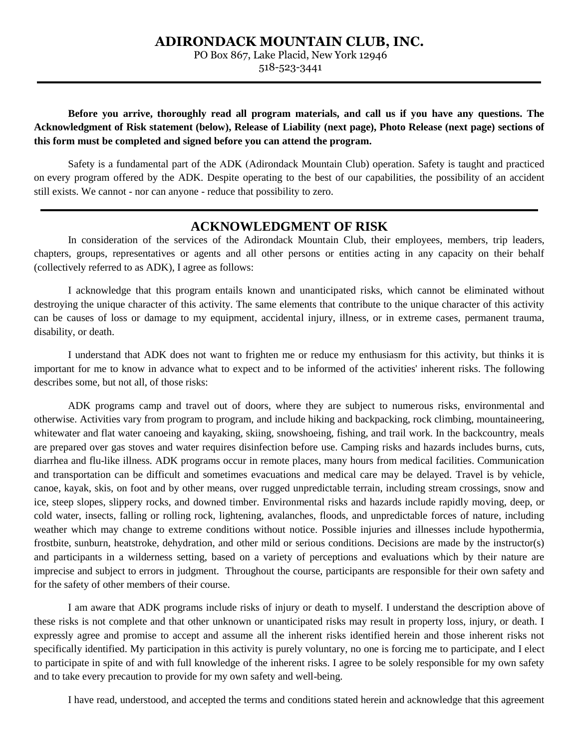## **ADIRONDACK MOUNTAIN CLUB, INC.**

PO Box 867, Lake Placid, New York 12946

518-523-3441

**Before you arrive, thoroughly read all program materials, and call us if you have any questions. The Acknowledgment of Risk statement (below), Release of Liability (next page), Photo Release (next page) sections of this form must be completed and signed before you can attend the program.** 

Safety is a fundamental part of the ADK (Adirondack Mountain Club) operation. Safety is taught and practiced on every program offered by the ADK. Despite operating to the best of our capabilities, the possibility of an accident still exists. We cannot - nor can anyone - reduce that possibility to zero.

## **ACKNOWLEDGMENT OF RISK**

In consideration of the services of the Adirondack Mountain Club, their employees, members, trip leaders, chapters, groups, representatives or agents and all other persons or entities acting in any capacity on their behalf (collectively referred to as ADK), I agree as follows:

I acknowledge that this program entails known and unanticipated risks, which cannot be eliminated without destroying the unique character of this activity. The same elements that contribute to the unique character of this activity can be causes of loss or damage to my equipment, accidental injury, illness, or in extreme cases, permanent trauma, disability, or death.

I understand that ADK does not want to frighten me or reduce my enthusiasm for this activity, but thinks it is important for me to know in advance what to expect and to be informed of the activities' inherent risks. The following describes some, but not all, of those risks:

ADK programs camp and travel out of doors, where they are subject to numerous risks, environmental and otherwise. Activities vary from program to program, and include hiking and backpacking, rock climbing, mountaineering, whitewater and flat water canoeing and kayaking, skiing, snowshoeing, fishing, and trail work. In the backcountry, meals are prepared over gas stoves and water requires disinfection before use. Camping risks and hazards includes burns, cuts, diarrhea and flu-like illness. ADK programs occur in remote places, many hours from medical facilities. Communication and transportation can be difficult and sometimes evacuations and medical care may be delayed. Travel is by vehicle, canoe, kayak, skis, on foot and by other means, over rugged unpredictable terrain, including stream crossings, snow and ice, steep slopes, slippery rocks, and downed timber. Environmental risks and hazards include rapidly moving, deep, or cold water, insects, falling or rolling rock, lightening, avalanches, floods, and unpredictable forces of nature, including weather which may change to extreme conditions without notice. Possible injuries and illnesses include hypothermia, frostbite, sunburn, heatstroke, dehydration, and other mild or serious conditions. Decisions are made by the instructor(s) and participants in a wilderness setting, based on a variety of perceptions and evaluations which by their nature are imprecise and subject to errors in judgment. Throughout the course, participants are responsible for their own safety and for the safety of other members of their course.

I am aware that ADK programs include risks of injury or death to myself. I understand the description above of these risks is not complete and that other unknown or unanticipated risks may result in property loss, injury, or death. I expressly agree and promise to accept and assume all the inherent risks identified herein and those inherent risks not specifically identified. My participation in this activity is purely voluntary, no one is forcing me to participate, and I elect to participate in spite of and with full knowledge of the inherent risks. I agree to be solely responsible for my own safety and to take every precaution to provide for my own safety and well-being.

I have read, understood, and accepted the terms and conditions stated herein and acknowledge that this agreement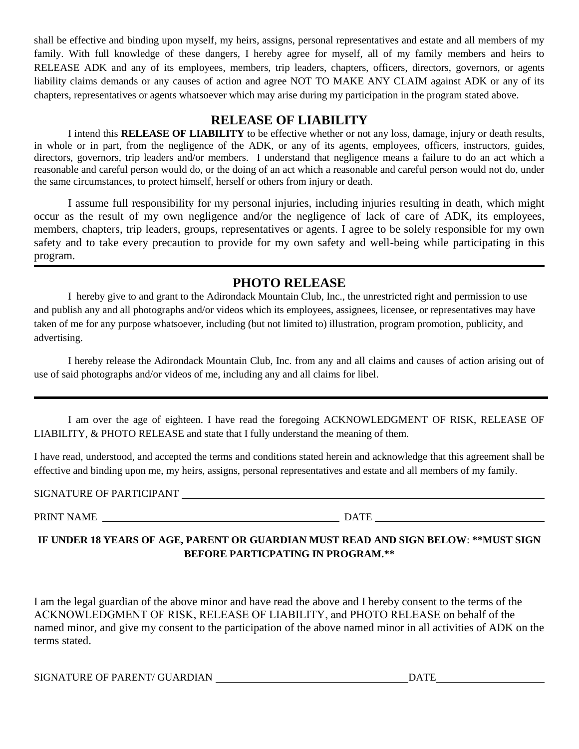shall be effective and binding upon myself, my heirs, assigns, personal representatives and estate and all members of my family. With full knowledge of these dangers, I hereby agree for myself, all of my family members and heirs to RELEASE ADK and any of its employees, members, trip leaders, chapters, officers, directors, governors, or agents liability claims demands or any causes of action and agree NOT TO MAKE ANY CLAIM against ADK or any of its chapters, representatives or agents whatsoever which may arise during my participation in the program stated above.

# **RELEASE OF LIABILITY**

I intend this **RELEASE OF LIABILITY** to be effective whether or not any loss, damage, injury or death results, in whole or in part, from the negligence of the ADK, or any of its agents, employees, officers, instructors, guides, directors, governors, trip leaders and/or members. I understand that negligence means a failure to do an act which a reasonable and careful person would do, or the doing of an act which a reasonable and careful person would not do, under the same circumstances, to protect himself, herself or others from injury or death.

I assume full responsibility for my personal injuries, including injuries resulting in death, which might occur as the result of my own negligence and/or the negligence of lack of care of ADK, its employees, members, chapters, trip leaders, groups, representatives or agents. I agree to be solely responsible for my own safety and to take every precaution to provide for my own safety and well-being while participating in this program.

# **PHOTO RELEASE**

I hereby give to and grant to the Adirondack Mountain Club, Inc., the unrestricted right and permission to use and publish any and all photographs and/or videos which its employees, assignees, licensee, or representatives may have taken of me for any purpose whatsoever, including (but not limited to) illustration, program promotion, publicity, and advertising.

I hereby release the Adirondack Mountain Club, Inc. from any and all claims and causes of action arising out of use of said photographs and/or videos of me, including any and all claims for libel.

I am over the age of eighteen. I have read the foregoing ACKNOWLEDGMENT OF RISK, RELEASE OF LIABILITY, & PHOTO RELEASE and state that I fully understand the meaning of them.

I have read, understood, and accepted the terms and conditions stated herein and acknowledge that this agreement shall be effective and binding upon me, my heirs, assigns, personal representatives and estate and all members of my family.

SIGNATURE OF PARTICIPANT

PRINT NAME DATE

# **IF UNDER 18 YEARS OF AGE, PARENT OR GUARDIAN MUST READ AND SIGN BELOW**: **\*\*MUST SIGN BEFORE PARTICPATING IN PROGRAM.\*\***

I am the legal guardian of the above minor and have read the above and I hereby consent to the terms of the ACKNOWLEDGMENT OF RISK, RELEASE OF LIABILITY, and PHOTO RELEASE on behalf of the named minor, and give my consent to the participation of the above named minor in all activities of ADK on the terms stated.

SIGNATURE OF PARENT/ GUARDIAN DATE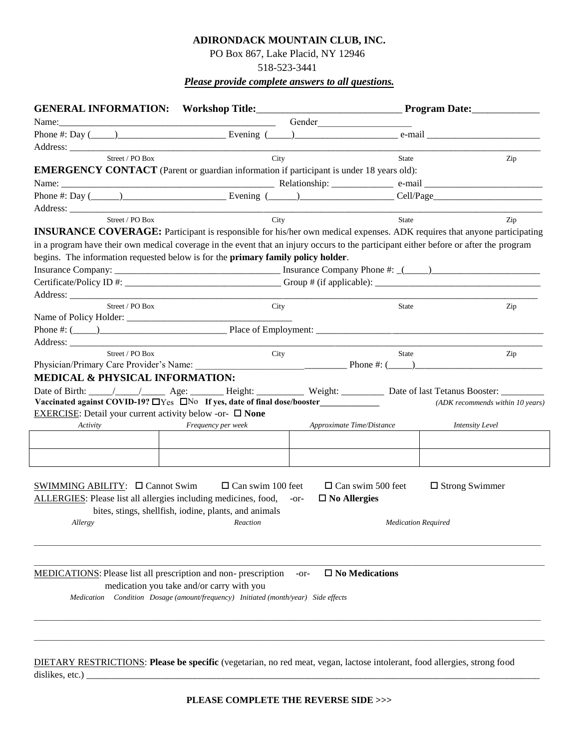#### **ADIRONDACK MOUNTAIN CLUB, INC.**

### PO Box 867, Lake Placid, NY 12946

518-523-3441

## *Please provide complete answers to all questions.*

| Name:                                                                                                                                 |                                                                                    |                                  |                                                                                                                                                                                                                                |                                  |
|---------------------------------------------------------------------------------------------------------------------------------------|------------------------------------------------------------------------------------|----------------------------------|--------------------------------------------------------------------------------------------------------------------------------------------------------------------------------------------------------------------------------|----------------------------------|
| Phone #: Day $(\_\_\_\_\_\_\_\$ Evening $(\_\_\_\_\_\_\_\_\_$                                                                         |                                                                                    |                                  | e-mail and the contract of the contract of the contract of the contract of the contract of the contract of the contract of the contract of the contract of the contract of the contract of the contract of the contract of the |                                  |
|                                                                                                                                       |                                                                                    |                                  |                                                                                                                                                                                                                                |                                  |
| Street / PO Box                                                                                                                       | City                                                                               |                                  | State                                                                                                                                                                                                                          | Zip                              |
| <b>EMERGENCY CONTACT</b> (Parent or guardian information if participant is under 18 years old):                                       |                                                                                    |                                  |                                                                                                                                                                                                                                |                                  |
|                                                                                                                                       |                                                                                    |                                  |                                                                                                                                                                                                                                |                                  |
| Phone #: Day $(\_\_\_\_\_\_\_\_\_\_\$ Evening $(\_\_\_\_\_\_\_\_\_\_$ Cell/Page                                                       |                                                                                    |                                  |                                                                                                                                                                                                                                |                                  |
|                                                                                                                                       |                                                                                    |                                  |                                                                                                                                                                                                                                |                                  |
| Street / PO Box                                                                                                                       | City                                                                               |                                  | State                                                                                                                                                                                                                          | Zip                              |
| INSURANCE COVERAGE: Participant is responsible for his/her own medical expenses. ADK requires that anyone participating               |                                                                                    |                                  |                                                                                                                                                                                                                                |                                  |
| in a program have their own medical coverage in the event that an injury occurs to the participant either before or after the program |                                                                                    |                                  |                                                                                                                                                                                                                                |                                  |
| begins. The information requested below is for the primary family policy holder.                                                      |                                                                                    |                                  |                                                                                                                                                                                                                                |                                  |
|                                                                                                                                       |                                                                                    |                                  |                                                                                                                                                                                                                                |                                  |
|                                                                                                                                       |                                                                                    |                                  |                                                                                                                                                                                                                                |                                  |
|                                                                                                                                       |                                                                                    |                                  |                                                                                                                                                                                                                                |                                  |
| Street / PO Box                                                                                                                       | City                                                                               |                                  | State                                                                                                                                                                                                                          | Zip                              |
| Name of Policy Holder:                                                                                                                |                                                                                    |                                  |                                                                                                                                                                                                                                |                                  |
| Phone $\#$ : $(\_\_\_\_)$                                                                                                             |                                                                                    |                                  |                                                                                                                                                                                                                                |                                  |
|                                                                                                                                       |                                                                                    |                                  |                                                                                                                                                                                                                                |                                  |
| Street / PO Box                                                                                                                       | City                                                                               |                                  | State                                                                                                                                                                                                                          | Zip                              |
| Physician/Primary Care Provider's Name: Phone #: (____)                                                                               |                                                                                    |                                  |                                                                                                                                                                                                                                |                                  |
| MEDICAL & PHYSICAL INFORMATION:                                                                                                       |                                                                                    |                                  |                                                                                                                                                                                                                                |                                  |
| Date of Birth: \____/ ____/ _____ Age: _______ Height: _________ Weight: _________ Date of last Tetanus Booster: ________             |                                                                                    |                                  |                                                                                                                                                                                                                                |                                  |
| Vaccinated against COVID-19? $\Box$ Yes $\Box$ No If yes, date of final dose/booster                                                  |                                                                                    |                                  |                                                                                                                                                                                                                                | (ADK recommends within 10 years) |
| <b>EXERCISE:</b> Detail your current activity below -or- $\Box$ None                                                                  |                                                                                    |                                  |                                                                                                                                                                                                                                |                                  |
| Activity                                                                                                                              | Frequency per week                                                                 | Approximate Time/Distance        |                                                                                                                                                                                                                                | <b>Intensity Level</b>           |
|                                                                                                                                       |                                                                                    |                                  |                                                                                                                                                                                                                                |                                  |
|                                                                                                                                       |                                                                                    |                                  |                                                                                                                                                                                                                                |                                  |
|                                                                                                                                       |                                                                                    |                                  |                                                                                                                                                                                                                                |                                  |
|                                                                                                                                       |                                                                                    |                                  |                                                                                                                                                                                                                                |                                  |
| SWIMMING ABILITY: $\Box$ Cannot Swim $\Box$ Can swim 100 feet                                                                         |                                                                                    | $\Box$ Can swim 500 feet         | $\Box$ Strong Swimmer                                                                                                                                                                                                          |                                  |
| ALLERGIES: Please list all allergies including medicines, food,                                                                       |                                                                                    | $\square$ No Allergies<br>$-0r-$ |                                                                                                                                                                                                                                |                                  |
|                                                                                                                                       | bites, stings, shellfish, iodine, plants, and animals                              |                                  |                                                                                                                                                                                                                                |                                  |
| Allergy Reaction                                                                                                                      |                                                                                    | Medication Required              |                                                                                                                                                                                                                                |                                  |
|                                                                                                                                       |                                                                                    |                                  |                                                                                                                                                                                                                                |                                  |
|                                                                                                                                       |                                                                                    |                                  |                                                                                                                                                                                                                                |                                  |
|                                                                                                                                       |                                                                                    |                                  |                                                                                                                                                                                                                                |                                  |
| MEDICATIONS: Please list all prescription and non- prescription                                                                       |                                                                                    | $\square$ No Medications<br>-or- |                                                                                                                                                                                                                                |                                  |
|                                                                                                                                       | medication you take and/or carry with you                                          |                                  |                                                                                                                                                                                                                                |                                  |
|                                                                                                                                       | Medication Condition Dosage (amount/frequency) Initiated (month/year) Side effects |                                  |                                                                                                                                                                                                                                |                                  |
|                                                                                                                                       |                                                                                    |                                  |                                                                                                                                                                                                                                |                                  |
|                                                                                                                                       |                                                                                    |                                  |                                                                                                                                                                                                                                |                                  |
|                                                                                                                                       |                                                                                    |                                  |                                                                                                                                                                                                                                |                                  |
|                                                                                                                                       |                                                                                    |                                  |                                                                                                                                                                                                                                |                                  |
|                                                                                                                                       |                                                                                    |                                  |                                                                                                                                                                                                                                |                                  |
| DIETARY RESTRICTIONS: Please be specific (vegetarian, no red meat, vegan, lactose intolerant, food allergies, strong food             |                                                                                    |                                  |                                                                                                                                                                                                                                |                                  |

dislikes, etc.) \_\_\_\_\_\_\_\_\_\_\_\_\_\_\_\_\_\_\_\_\_\_\_\_\_\_\_\_\_\_\_\_\_\_\_\_\_\_\_\_\_\_\_\_\_\_\_\_\_\_\_\_\_\_\_\_\_\_\_\_\_\_\_\_\_\_\_\_\_\_\_\_\_\_\_\_\_\_\_\_\_\_\_\_\_\_\_\_\_\_\_\_\_\_\_\_

**PLEASE COMPLETE THE REVERSE SIDE >>>**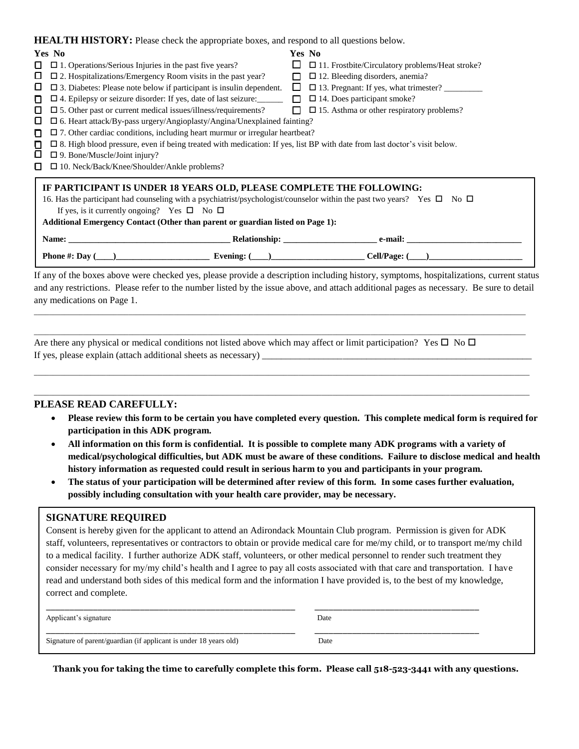**HEALTH HISTORY.** Pl

| <b>THEALTH HISTORY:</b> Please check the appropriate boxes, and respond to all questions below. |                                                                                                                                   |        |                                                        |  |  |  |
|-------------------------------------------------------------------------------------------------|-----------------------------------------------------------------------------------------------------------------------------------|--------|--------------------------------------------------------|--|--|--|
|                                                                                                 | Yes No                                                                                                                            | Yes No |                                                        |  |  |  |
| I I                                                                                             | $\Box$ 1. Operations/Serious Injuries in the past five years?                                                                     | ப      | $\Box$ 11. Frostbite/Circulatory problems/Heat stroke? |  |  |  |
| ப                                                                                               | $\square$ 2. Hospitalizations/Emergency Room visits in the past year?                                                             | П      | $\Box$ 12. Bleeding disorders, anemia?                 |  |  |  |
| ப                                                                                               | $\square$ 3. Diabetes: Please note below if participant is insulin dependent.                                                     | $\Box$ |                                                        |  |  |  |
| п                                                                                               | $\Box$ 4. Epilepsy or seizure disorder: If yes, date of last seizure:                                                             |        | $\Box$ $\Box$ 14. Does participant smoke?              |  |  |  |
| ш                                                                                               | $\square$ 5. Other past or current medical issues/illness/requirements?                                                           | $\Box$ | $\Box$ 15. Asthma or other respiratory problems?       |  |  |  |
| ப                                                                                               | $\square$ 6. Heart attack/By-pass urgery/Angioplasty/Angina/Unexplained fainting?                                                 |        |                                                        |  |  |  |
|                                                                                                 | $\Box$ 7. Other cardiac conditions, including heart murmur or irregular heartbeat?                                                |        |                                                        |  |  |  |
| П                                                                                               | $\Box$ 8. High blood pressure, even if being treated with medication: If yes, list BP with date from last doctor's visit below.   |        |                                                        |  |  |  |
| ப                                                                                               | $\square$ 9. Bone/Muscle/Joint injury?                                                                                            |        |                                                        |  |  |  |
|                                                                                                 | $\square$ 10. Neck/Back/Knee/Shoulder/Ankle problems?                                                                             |        |                                                        |  |  |  |
|                                                                                                 |                                                                                                                                   |        |                                                        |  |  |  |
|                                                                                                 | IF PARTICIPANT IS UNDER 18 YEARS OLD, PLEASE COMPLETE THE FOLLOWING:                                                              |        |                                                        |  |  |  |
|                                                                                                 | 16. Has the participant had counseling with a psychiatrist/psychologist/counselor within the past two years? Yes $\Box$ No $\Box$ |        |                                                        |  |  |  |
| If yes, is it currently ongoing? Yes $\square$ No $\square$                                     |                                                                                                                                   |        |                                                        |  |  |  |
| Additional Emergency Contact (Other than parent or guardian listed on Page 1):                  |                                                                                                                                   |        |                                                        |  |  |  |
|                                                                                                 |                                                                                                                                   |        |                                                        |  |  |  |
|                                                                                                 | Name: Name:                                                                                                                       |        |                                                        |  |  |  |
|                                                                                                 | Phone #: Day ( ) $\qquad \qquad$ Evening: ( ) $\qquad \qquad$ Cell/Page: ( )                                                      |        |                                                        |  |  |  |
|                                                                                                 |                                                                                                                                   |        |                                                        |  |  |  |

If any of the boxes above were checked yes, please provide a description including history, symptoms, hospitalizations, current status and any restrictions. Please refer to the number listed by the issue above, and attach additional pages as necessary. Be sure to detail any medications on Page 1.

*\_\_\_\_\_\_\_\_\_\_\_\_\_\_\_\_\_\_\_\_\_\_\_\_\_\_\_\_\_\_\_\_\_\_\_\_\_\_\_\_\_\_\_\_\_\_\_\_\_\_\_\_\_\_\_\_\_\_\_\_\_\_\_\_\_\_\_\_\_\_\_\_\_\_\_\_\_\_\_\_\_\_\_\_\_\_\_\_\_\_\_\_\_\_\_\_\_\_\_\_\_\_\_\_\_\_\_\_\_\_\_\_\_\_\_\_\_\_\_\_\_\_\_\_\_\_\_\_\_\_*

*\_\_\_\_\_\_\_\_\_\_\_\_\_\_\_\_\_\_\_\_\_\_\_\_\_\_\_\_\_\_\_\_\_\_\_\_\_\_\_\_\_\_\_\_\_\_\_\_\_\_\_\_\_\_\_\_\_\_\_\_\_\_\_\_\_\_\_\_\_\_\_\_\_\_\_\_\_\_\_\_\_\_\_\_\_\_\_\_\_\_\_\_\_\_\_\_\_\_\_\_\_\_\_\_\_\_\_\_\_\_\_\_\_\_\_\_\_\_\_\_\_\_\_\_\_\_\_\_\_\_* 

*\_\_\_\_\_\_\_\_\_\_\_\_\_\_\_\_\_\_\_\_\_\_\_\_\_\_\_\_\_\_\_\_\_\_\_\_\_\_\_\_\_\_\_\_\_\_\_\_\_\_\_\_\_\_\_\_\_\_\_\_\_\_\_\_\_\_\_\_\_\_\_\_\_\_\_\_\_\_\_\_\_\_\_\_\_\_\_\_\_\_\_\_\_\_\_\_\_\_\_\_\_\_\_\_\_\_\_\_\_\_\_\_\_\_\_\_\_\_\_\_\_\_\_\_\_\_\_\_\_\_\_*

*\_\_\_\_\_\_\_\_\_\_\_\_\_\_\_\_\_\_\_\_\_\_\_\_\_\_\_\_\_\_\_\_\_\_\_\_\_\_\_\_\_\_\_\_\_\_\_\_\_\_\_\_\_\_\_\_\_\_\_\_\_\_\_\_\_\_\_\_\_\_\_\_\_\_\_\_\_\_\_\_\_\_\_\_\_\_\_\_\_\_\_\_\_\_\_\_\_\_\_\_\_\_\_\_\_\_\_\_\_\_\_\_\_\_\_\_\_\_\_\_\_\_\_\_\_\_\_\_\_\_\_*

Are there any physical or medical conditions not listed above which may affect or limit participation? Yes  $\Box$  No  $\Box$ If yes, please explain (attach additional sheets as necessary)

#### **PLEASE READ CAREFULLY:**

- **Please review this form to be certain you have completed every question. This complete medical form is required for participation in this ADK program.**
- **All information on this form is confidential. It is possible to complete many ADK programs with a variety of medical/psychological difficulties, but ADK must be aware of these conditions. Failure to disclose medical and health history information as requested could result in serious harm to you and participants in your program.**
- **The status of your participation will be determined after review of this form. In some cases further evaluation, possibly including consultation with your health care provider, may be necessary.**

### **SIGNATURE REQUIRED**

Consent is hereby given for the applicant to attend an Adirondack Mountain Club program. Permission is given for ADK staff, volunteers, representatives or contractors to obtain or provide medical care for me/my child, or to transport me/my child to a medical facility. I further authorize ADK staff, volunteers, or other medical personnel to render such treatment they consider necessary for my/my child's health and I agree to pay all costs associated with that care and transportation. I have read and understand both sides of this medical form and the information I have provided is, to the best of my knowledge, correct and complete.

| Applicant's signature                                             | Date |
|-------------------------------------------------------------------|------|
| Signature of parent/guardian (if applicant is under 18 years old) | Date |

**Thank you for taking the time to carefully complete this form. Please call 518-523-3441 with any questions.**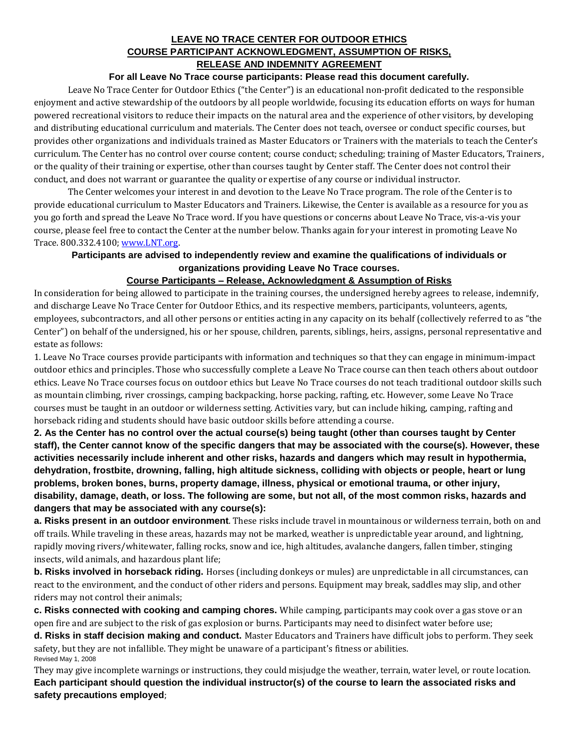## **LEAVE NO TRACE CENTER FOR OUTDOOR ETHICS COURSE PARTICIPANT ACKNOWLEDGMENT, ASSUMPTION OF RISKS, RELEASE AND INDEMNITY AGREEMENT**

### **For all Leave No Trace course participants: Please read this document carefully.**

Leave No Trace Center for Outdoor Ethics ("the Center") is an educational non‐profit dedicated to the responsible enjoyment and active stewardship of the outdoors by all people worldwide, focusing its education efforts on ways for human powered recreational visitors to reduce their impacts on the natural area and the experience of other visitors, by developing and distributing educational curriculum and materials. The Center does not teach, oversee or conduct specific courses, but provides other organizations and individuals trained as Master Educators or Trainers with the materials to teach the Center's curriculum. The Center has no control over course content; course conduct; scheduling; training of Master Educators, Trainers, or the quality of their training or expertise, other than courses taught by Center staff. The Center does not control their conduct, and does not warrant or guarantee the quality or expertise of any course or individual instructor.

The Center welcomes your interest in and devotion to the Leave No Trace program. The role of the Center is to provide educational curriculum to Master Educators and Trainers. Likewise, the Center is available as a resource for you as you go forth and spread the Leave No Trace word. If you have questions or concerns about Leave No Trace, vis‐a‐vis your course, please feel free to contact the Center at the number below. Thanks again for your interest in promoting Leave No Trace. 800.332.4100; [www.LNT.org.](http://www.lnt.org/)

## **Participants are advised to independently review and examine the qualifications of individuals or organizations providing Leave No Trace courses.**

## **Course Participants – Release, Acknowledgment & Assumption of Risks**

In consideration for being allowed to participate in the training courses, the undersigned hereby agrees to release, indemnify, and discharge Leave No Trace Center for Outdoor Ethics, and its respective members, participants, volunteers, agents, employees, subcontractors, and all other persons or entities acting in any capacity on its behalf (collectively referred to as "the Center") on behalf of the undersigned, his or her spouse, children, parents, siblings, heirs, assigns, personal representative and estate as follows:

1. Leave No Trace courses provide participants with information and techniques so that they can engage in minimum‐impact outdoor ethics and principles. Those who successfully complete a Leave No Trace course can then teach others about outdoor ethics. Leave No Trace courses focus on outdoor ethics but Leave No Trace courses do not teach traditional outdoor skills such as mountain climbing, river crossings, camping backpacking, horse packing, rafting, etc. However, some Leave No Trace courses must be taught in an outdoor or wilderness setting. Activities vary, but can include hiking, camping, rafting and horseback riding and students should have basic outdoor skills before attending a course.

**2. As the Center has no control over the actual course(s) being taught (other than courses taught by Center staff), the Center cannot know of the specific dangers that may be associated with the course(s). However, these activities necessarily include inherent and other risks, hazards and dangers which may result in hypothermia, dehydration, frostbite, drowning, falling, high altitude sickness, colliding with objects or people, heart or lung problems, broken bones, burns, property damage, illness, physical or emotional trauma, or other injury, disability, damage, death, or loss. The following are some, but not all, of the most common risks, hazards and dangers that may be associated with any course(s):**

**a. Risks present in an outdoor environment**. These risks include travel in mountainous or wilderness terrain, both on and off trails. While traveling in these areas, hazards may not be marked, weather is unpredictable year around, and lightning, rapidly moving rivers/whitewater, falling rocks, snow and ice, high altitudes, avalanche dangers, fallen timber, stinging insects, wild animals, and hazardous plant life;

**b. Risks involved in horseback riding.** Horses (including donkeys or mules) are unpredictable in all circumstances, can react to the environment, and the conduct of other riders and persons. Equipment may break, saddles may slip, and other riders may not control their animals;

**c. Risks connected with cooking and camping chores.** While camping, participants may cook over a gas stove or an open fire and are subject to the risk of gas explosion or burns. Participants may need to disinfect water before use;

**d. Risks in staff decision making and conduct.** Master Educators and Trainers have difficult jobs to perform. They seek safety, but they are not infallible. They might be unaware of a participant's fitness or abilities. Revised May 1, 2008

They may give incomplete warnings or instructions, they could misjudge the weather, terrain, water level, or route location. **Each participant should question the individual instructor(s) of the course to learn the associated risks and safety precautions employed**;